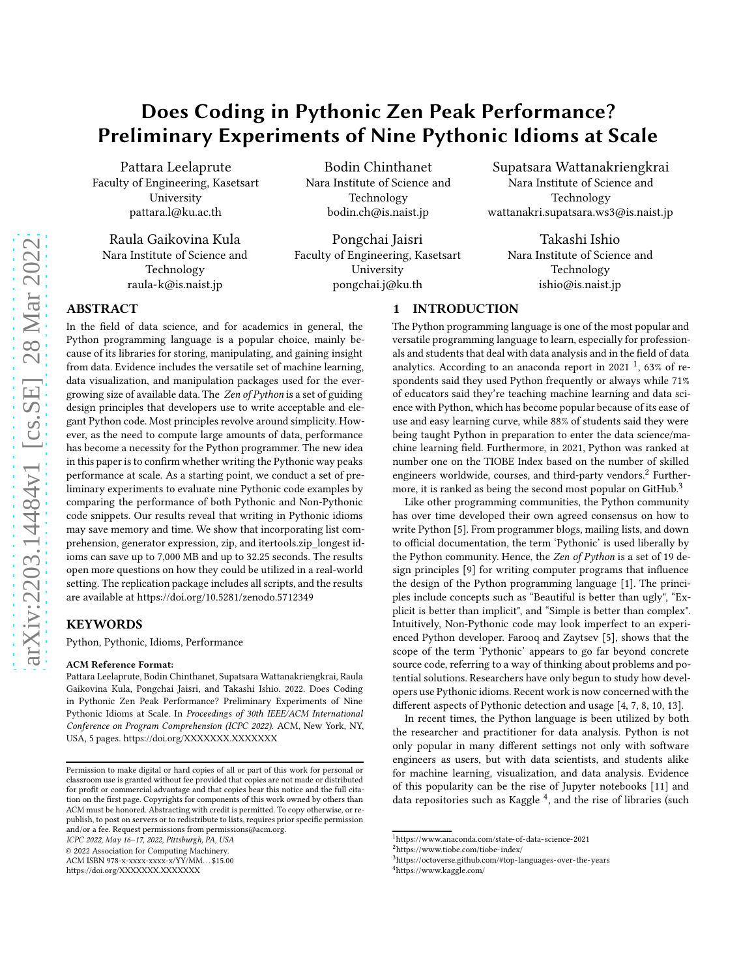# Does Coding in Pythonic Zen Peak Performance? Preliminary Experiments of Nine Pythonic Idioms at Scale

Pattara Leelaprute Faculty of Engineering, Kasetsart University pattara.l@ku.ac.th

Raula Gaikovina Kula Nara Institute of Science and Technology raula-k@is.naist.jp

Bodin Chinthanet Nara Institute of Science and Technology bodin.ch@is.naist.jp

Pongchai Jaisri Faculty of Engineering, Kasetsart University pongchai.j@ku.th

Supatsara Wattanakriengkrai Nara Institute of Science and Technology wattanakri.supatsara.ws3@is.naist.jp

> Takashi Ishio Nara Institute of Science and Technology ishio@is.naist.jp

## ABSTRACT

In the field of data science, and for academics in general, the Python programming language is a popular choice, mainly because of its libraries for storing, manipulating, and gaining insight from data. Evidence includes the versatile set of machine learning, data visualization, and manipulation packages used for the evergrowing size of available data. The Zen of Python is a set of guiding design principles that developers use to write acceptable and elegant Python code. Most principles revolve around simplicity. However, as the need to compute large amounts of data, performance has become a necessity for the Python programmer. The new idea in this paper is to confirm whether writing the Pythonic way peaks performance at scale. As a starting point, we conduct a set of preliminary experiments to evaluate nine Pythonic code examples by comparing the performance of both Pythonic and Non-Pythonic code snippets. Our results reveal that writing in Pythonic idioms may save memory and time. We show that incorporating list comprehension, generator expression, zip, and itertools.zip\_longest idioms can save up to 7,000 MB and up to 32.25 seconds. The results open more questions on how they could be utilized in a real-world setting. The replication package includes all scripts, and the results are available at<https://doi.org/10.5281/zenodo.5712349>

#### KEYWORDS

Python, Pythonic, Idioms, Performance

#### ACM Reference Format:

Pattara Leelaprute, Bodin Chinthanet, Supatsara Wattanakriengkrai, Raula Gaikovina Kula, Pongchai Jaisri, and Takashi Ishio. 2022. Does Coding in Pythonic Zen Peak Performance? Preliminary Experiments of Nine Pythonic Idioms at Scale. In Proceedings of 30th IEEE/ACM International Conference on Program Comprehension (ICPC 2022). ACM, New York, NY, USA, [5](#page-4-0) pages.<https://doi.org/XXXXXXX.XXXXXXX>

ICPC 2022, May 16–17, 2022, Pittsburgh, PA, USA

© 2022 Association for Computing Machinery.

ACM ISBN 978-x-xxxx-xxxx-x/YY/MM. . . \$15.00

<https://doi.org/XXXXXXX.XXXXXXX>

## 1 INTRODUCTION

The Python programming language is one of the most popular and versatile programming language to learn, especially for professionals and students that deal with data analysis and in the field of data analytics. According to an anaconda report in 202[1](#page-0-0)  $^1$ , 63% of respondents said they used Python frequently or always while 71% of educators said they're teaching machine learning and data science with Python, which has become popular because of its ease of use and easy learning curve, while 88% of students said they were being taught Python in preparation to enter the data science/machine learning field. Furthermore, in 2021, Python was ranked at number one on the TIOBE Index based on the number of skilled engineers worldwide, courses, and third-party vendors.<sup>[2](#page-0-1)</sup> Further-more, it is ranked as being the second most popular on GitHub.<sup>[3](#page-0-2)</sup>

Like other programming communities, the Python community has over time developed their own agreed consensus on how to write Python [\[5\]](#page-4-1). From programmer blogs, mailing lists, and down to official documentation, the term 'Pythonic' is used liberally by the Python community. Hence, the Zen of Python is a set of 19 design principles [\[9](#page-4-2)] for writing computer programs that influence the design of the Python programming language [\[1\]](#page-4-3). The principles include concepts such as "Beautiful is better than ugly", "Explicit is better than implicit", and "Simple is better than complex". Intuitively, Non-Pythonic code may look imperfect to an experienced Python developer. Farooq and Zaytsev [\[5](#page-4-1)], shows that the scope of the term 'Pythonic' appears to go far beyond concrete source code, referring to a way of thinking about problems and potential solutions. Researchers have only begun to study how developers use Pythonic idioms. Recent work is now concerned with the different aspects of Pythonic detection and usage [\[4](#page-4-4), [7,](#page-4-5) [8,](#page-4-6) [10](#page-4-7), [13\]](#page-4-8).

In recent times, the Python language is been utilized by both the researcher and practitioner for data analysis. Python is not only popular in many different settings not only with software engineers as users, but with data scientists, and students alike for machine learning, visualization, and data analysis. Evidence of this popularity can be the rise of Jupyter notebooks [\[11\]](#page-4-9) and data repositories such as Kaggle<sup>[4](#page-0-3)</sup>, and the rise of libraries (such

Permission to make digital or hard copies of all or part of this work for personal or classroom use is granted without fee provided that copies are not made or distributed for profit or commercial advantage and that copies bear this notice and the full citation on the first page. Copyrights for components of this work owned by others than ACM must be honored. Abstracting with credit is permitted. To copy otherwise, or republish, to post on servers or to redistribute to lists, requires prior specific permission and/or a fee. Request permissions from permissions@acm.org.

<sup>1</sup><https://www.anaconda.com/state-of-data-science-2021>

<span id="page-0-0"></span><sup>2</sup><https://www.tiobe.com/tiobe-index/>

<span id="page-0-3"></span><span id="page-0-2"></span><span id="page-0-1"></span><sup>3</sup><https://octoverse.github.com/#top-languages-over-the-years> <sup>4</sup><https://www.kaggle.com/>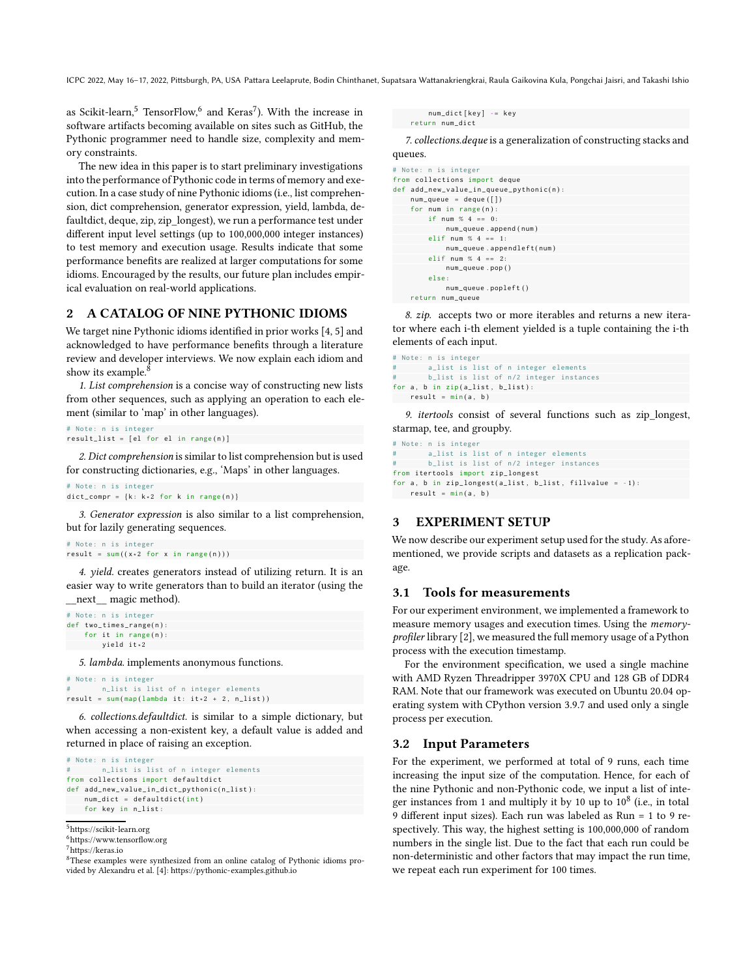ICPC 2022, May 16-17, 2022, Pittsburgh, PA, USA Pattara Leelaprute, Bodin Chinthanet, Supatsara Wattanakriengkrai, Raula Gaikovina Kula, Pongchai Jaisri, and Takashi Ishio

as Scikit-learn, $^5$  $^5$  TensorFlow, $^6$  $^6$  and Keras $^7$  $^7$ ). With the increase in software artifacts becoming available on sites such as GitHub, the Pythonic programmer need to handle size, complexity and memory constraints.

The new idea in this paper is to start preliminary investigations into the performance of Pythonic code in terms of memory and execution. In a case study of nine Pythonic idioms (i.e., list comprehension, dict comprehension, generator expression, yield, lambda, defaultdict, deque, zip, zip\_longest), we run a performance test under different input level settings (up to 100,000,000 integer instances) to test memory and execution usage. Results indicate that some performance benefits are realized at larger computations for some idioms. Encouraged by the results, our future plan includes empirical evaluation on real-world applications.

### 2 A CATALOG OF NINE PYTHONIC IDIOMS

We target nine Pythonic idioms identified in prior works [\[4](#page-4-4), [5\]](#page-4-1) and acknowledged to have performance benefits through a literature review and developer interviews. We now explain each idiom and show its example. $8$ 

1. List comprehension is a concise way of constructing new lists from other sequences, such as applying an operation to each element (similar to 'map' in other languages).

```
# Note: n is integer
result\_list = [el for el in range(n)]
```
2. Dict comprehension is similar to list comprehension but is used for constructing dictionaries, e.g., 'Maps' in other languages.

```
dict\_compr = {k: k * 2 for k in range(n)}
```
3. Generator expression is also similar to a list comprehension, but for lazily generating sequences.

```
# Note: n is integer
result = sum((x * 2 for x in range(n)))
```
4. yield. creates generators instead of utilizing return. It is an easier way to write generators than to build an iterator (using the \_\_next\_\_ magic method).

```
# Note: n is integer
def two_time s_range(n)for it in range(n):
        yield it ∗ 2
```
# Note: n is integer

5. lambda. implements anonymous functions.

```
# Note: n is integer
       n_list is list of n integer elements
result = sum(map(lambda it: it*2 + 2, n_list))
```
6. collections.defaultdict. is similar to a simple dictionary, but when accessing a non-existent key, a default value is added and returned in place of raising an exception.

```
# Note: n is integer
        n_list is list of n integer elements
from collections import defaultdict
def add_new_value_in_dict_bythonic(n_list):num dict = de f ault dict( int )
    for key in n_list :
```

```
^5https://scikit-learn.org
```

```
7https://keras.io
```
num\_dict [key] -= key return num\_dict

7. collections.deque is a generalization of constructing stacks and queues.

```
# Note: n is integer
from collections import deque
def add_new_value_in_value\_ppthonic(n):
    num\_queue = deque([])for num in range(n):
        if num % 4 == 0:
             num_queue . append ( num )
         elif num % 4 == 1:
             num queue . a p p e n d l e f t ( num )
         elif num % 4 == 2:
             num_queue . pop ( )
         else :
             num_queue . popleft ( )
    return num_queue
```
8. zip. accepts two or more iterables and returns a new iterator where each i-th element yielded is a tuple containing the i-th elements of each input.

```
# Note: n is integer
       a_list is list of n integer elements
       b_list is list of n/2 integer instances
for a, b in zip (a_1ist, b_1ist):
   result = min(a, b)
```
9. itertools consist of several functions such as zip\_longest, starmap, tee, and groupby.

```
# Note: n is integer
        a_list is list of n integer elements
       b_list is list of n/2 integer instances
from itertools import zip_longest
for a, b in zip\_longest(a\_list, b\_list, fillvalue = -1):
  result = min(a, b)
```
## 3 EXPERIMENT SETUP

We now describe our experiment setup used for the study. As aforementioned, we provide scripts and datasets as a replication package.

#### 3.1 Tools for measurements

For our experiment environment, we implemented a framework to measure memory usages and execution times. Using the memoryprofiler library [\[2\]](#page-4-10), we measured the full memory usage of a Python process with the execution timestamp.

For the environment specification, we used a single machine with AMD Ryzen Threadripper 3970X CPU and 128 GB of DDR4 RAM. Note that our framework was executed on Ubuntu 20.04 operating system with CPython version 3.9.7 and used only a single process per execution.

#### 3.2 Input Parameters

For the experiment, we performed at total of 9 runs, each time increasing the input size of the computation. Hence, for each of the nine Pythonic and non-Pythonic code, we input a list of integer instances from 1 and multiply it by 10 up to  $10^8$  (i.e., in total 9 different input sizes). Each run was labeled as Run = 1 to 9 respectively. This way, the highest setting is 100,000,000 of random numbers in the single list. Due to the fact that each run could be non-deterministic and other factors that may impact the run time, we repeat each run experiment for 100 times.

<span id="page-1-0"></span><sup>6</sup><https://www.tensorflow.org>

<span id="page-1-3"></span><span id="page-1-2"></span><sup>8</sup>These examples were synthesized from an online catalog of Pythonic idioms provided by Alexandru et al. [\[4](#page-4-4)]:<https://pythonic-examples.github.io>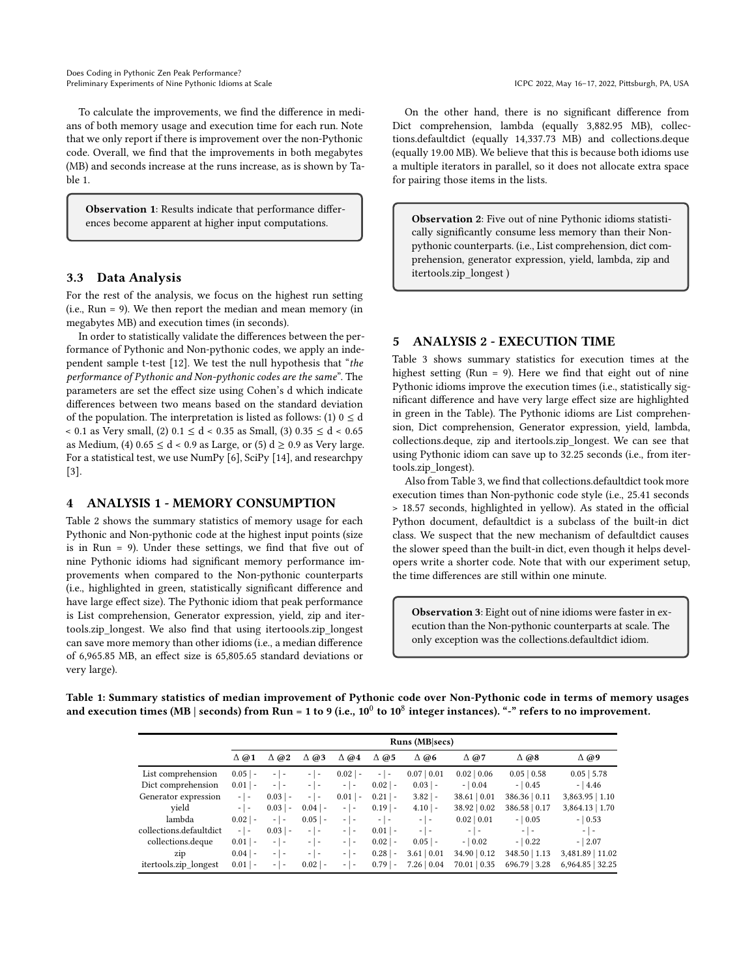To calculate the improvements, we find the difference in medians of both memory usage and execution time for each run. Note that we only report if there is improvement over the non-Pythonic code. Overall, we find that the improvements in both megabytes (MB) and seconds increase at the runs increase, as is shown by Table [1.](#page-2-0)

Observation 1: Results indicate that performance differences become apparent at higher input computations.

## 3.3 Data Analysis

For the rest of the analysis, we focus on the highest run setting (i.e., Run = 9). We then report the median and mean memory (in megabytes MB) and execution times (in seconds).

In order to statistically validate the differences between the performance of Pythonic and Non-pythonic codes, we apply an independent sample t-test [\[12\]](#page-4-11). We test the null hypothesis that "the performance of Pythonic and Non-pythonic codes are the same". The parameters are set the effect size using Cohen's d which indicate differences between two means based on the standard deviation of the population. The interpretation is listed as follows: (1)  $0 \le d$ < 0.1 as Very small, (2) 0.1 ≤ d < 0.35 as Small, (3) 0.35 ≤ d < 0.65 as Medium, (4)  $0.65 \le d < 0.9$  as Large, or (5)  $d \ge 0.9$  as Very large. For a statistical test, we use NumPy [\[6](#page-4-12)], SciPy [\[14\]](#page-4-13), and researchpy [\[3](#page-4-14)].

## 4 ANALYSIS 1 - MEMORY CONSUMPTION

Table [2](#page-3-0) shows the summary statistics of memory usage for each Pythonic and Non-pythonic code at the highest input points (size is in Run = 9). Under these settings, we find that five out of nine Pythonic idioms had significant memory performance improvements when compared to the Non-pythonic counterparts (i.e., highlighted in green, statistically significant difference and have large effect size). The Pythonic idiom that peak performance is List comprehension, Generator expression, yield, zip and itertools.zip\_longest. We also find that using itertoools.zip\_longest can save more memory than other idioms (i.e., a median difference of 6,965.85 MB, an effect size is 65,805.65 standard deviations or very large).

On the other hand, there is no significant difference from Dict comprehension, lambda (equally 3,882.95 MB), collections.defaultdict (equally 14,337.73 MB) and collections.deque (equally 19.00 MB). We believe that this is because both idioms use a multiple iterators in parallel, so it does not allocate extra space for pairing those items in the lists.

Observation 2: Five out of nine Pythonic idioms statistically significantly consume less memory than their Nonpythonic counterparts. (i.e., List comprehension, dict comprehension, generator expression, yield, lambda, zip and itertools.zip\_longest )

#### 5 ANALYSIS 2 - EXECUTION TIME

Table [3](#page-3-1) shows summary statistics for execution times at the highest setting (Run = 9). Here we find that eight out of nine Pythonic idioms improve the execution times (i.e., statistically significant difference and have very large effect size are highlighted in green in the Table). The Pythonic idioms are List comprehension, Dict comprehension, Generator expression, yield, lambda, collections.deque, zip and itertools.zip\_longest. We can see that using Pythonic idiom can save up to 32.25 seconds (i.e., from itertools.zip\_longest).

Also from Table [3,](#page-3-1) we find that collections.defaultdict took more execution times than Non-pythonic code style (i.e., 25.41 seconds > 18.57 seconds, highlighted in yellow). As stated in the official Python document, defaultdict is a subclass of the built-in dict class. We suspect that the new mechanism of defaultdict causes the slower speed than the built-in dict, even though it helps developers write a shorter code. Note that with our experiment setup, the time differences are still within one minute.

Observation 3: Eight out of nine idioms were faster in execution than the Non-pythonic counterparts at scale. The only exception was the collections.defaultdict idiom.

| Runs (MB secs)    |                                                      |                |                   |                |                   |                  |                   |                  |
|-------------------|------------------------------------------------------|----------------|-------------------|----------------|-------------------|------------------|-------------------|------------------|
| $\Delta \omega$ 1 | $\triangle$ @2                                       | $\triangle$ @3 | $\Delta \omega$ 4 | $\triangle$ @5 | $\Delta \omega$ 6 | $\triangle$ @7   | $\Delta \omega$ 8 | $\Delta \omega$  |
| $0.05$   -        | $\overline{\phantom{0}}$<br>$\overline{\phantom{a}}$ | - 1 -          | $0.02$   -        | $-1-$          | 0.07   0.01       | $0.02 \mid 0.06$ | 0.05   0.58       | $0.05$   5.78    |
| $0.01$   -        | $-1 -$                                               | - 1 -          | $-1-$             | $0.02$  -      | $0.03$   -        | $-10.04$         | $-10.45$          | $-14.46$         |
| $-1-$             | $0.03$   -                                           | - 1 -          | $0.01$   -        | $0.21$   -     | $3.82$   -        | 38.61   0.01     | 386.36   0.11     | 3,863.95   1.10  |
| $-1-$             | $0.03$   -                                           | $0.04$  -      | -1-               | $0.19$ -       | $4.10$   -        | 38.92   0.02     | 386.58   0.17     | 3,864.13   1.70  |
| $0.02$   -        | $-1 -$                                               | $0.05$  -      | $-1-$             | $-1-$          | $-1 -$            | 0.02   0.01      | $-10.05$          | $-10.53$         |
| $-1-$             | $0.03$   -                                           | - 1 -          | - 1 -             | $0.01$   -     | - 1 -             | $-1-$            | $-1-$             | $-1-$            |
| $0.01$   -        | $-1-$                                                | $-1 -$         | - 1 -             | $0.02$  -      | $0.05$   -        | $-10.02$         | $-10.22$          | $-12.07$         |
| $0.04$   -        | $-1 -$                                               | - 1 -          | - 1 -             | $0.28$  -      | $3.61 \mid 0.01$  | 34.90   0.12     | 348.50   1.13     | 3,481.89   11.02 |
| $0.01$   -        | $-1-$                                                | $0.02$  -      | - 1 -             | $0.79$   -     | 7.26   0.04       | 70.01   0.35     | 696.79 3.28       | 6,964.85   32.25 |
|                   |                                                      |                |                   |                |                   |                  |                   |                  |

<span id="page-2-0"></span>Table 1: Summary statistics of median improvement of Pythonic code over Non-Pythonic code in terms of memory usages and execution times (MB | seconds) from Run = 1 to 9 (i.e.,  $10^0$  to  $10^8$  integer instances). "-" refers to no improvement.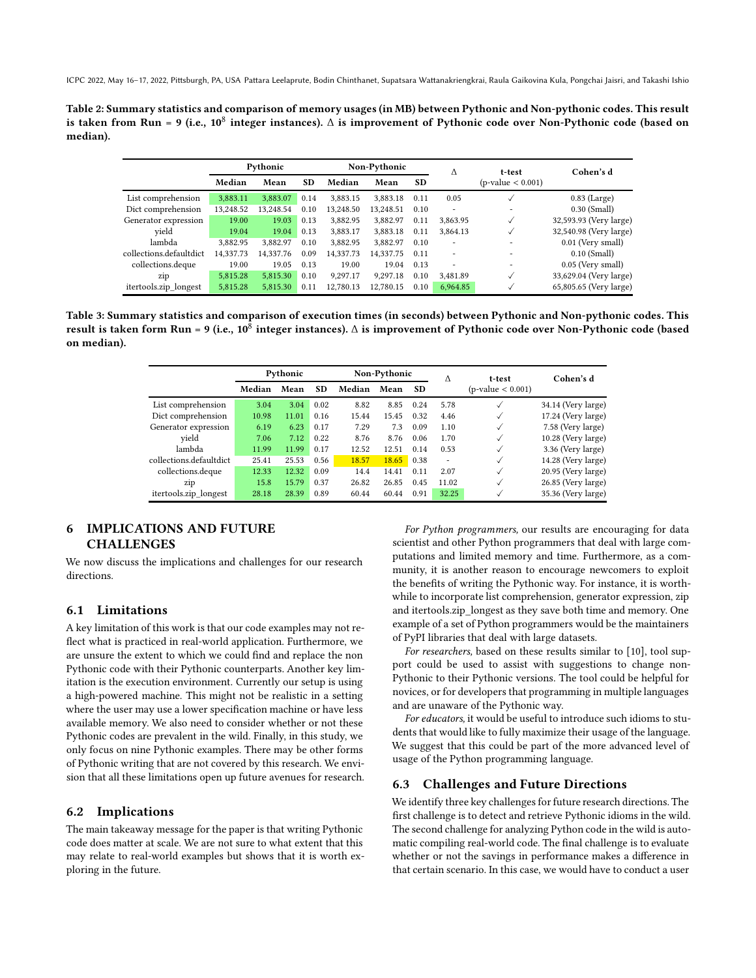<span id="page-3-0"></span>ICPC 2022, May 16-17, 2022, Pittsburgh, PA, USA Pattara Leelaprute, Bodin Chinthanet, Supatsara Wattanakriengkrai, Raula Gaikovina Kula, Pongchai Jaisri, and Takashi Ishio

Table 2: Summary statistics and comparison of memory usages (in MB) between Pythonic and Non-pythonic codes. This result is taken from Run = 9 (i.e., 10<sup>8</sup> integer instances).  $\Delta$  is improvement of Pythonic code over Non-Pythonic code (based on median).

|                         | Pythonic  |           |           | Non-Pythonic |           |           | Λ                        | t-test                   | Cohen's d              |  |
|-------------------------|-----------|-----------|-----------|--------------|-----------|-----------|--------------------------|--------------------------|------------------------|--|
|                         | Median    | Mean      | <b>SD</b> | Median       | Mean      | <b>SD</b> |                          | $(p-value < 0.001)$      |                        |  |
| List comprehension      | 3,883.11  | 3,883.07  | 0.14      | 3.883.15     | 3.883.18  | 0.11      | 0.05                     |                          | $0.83$ (Large)         |  |
| Dict comprehension      | 13,248.52 | 13.248.54 | 0.10      | 13.248.50    | 13.248.51 | 0.10      |                          | $\overline{\phantom{a}}$ | $0.30$ (Small)         |  |
| Generator expression    | 19.00     | 19.03     | 0.13      | 3,882.95     | 3.882.97  | 0.11      | 3.863.95                 | ✓                        | 32,593.93 (Very large) |  |
| vield                   | 19.04     | 19.04     | 0.13      | 3,883.17     | 3,883.18  | 0.11      | 3.864.13                 |                          | 32,540.98 (Very large) |  |
| lambda                  | 3.882.95  | 3.882.97  | 0.10      | 3.882.95     | 3.882.97  | 0.10      | $\overline{\phantom{a}}$ |                          | 0.01 (Very small)      |  |
| collections.defaultdict | 14,337.73 | 14.337.76 | 0.09      | 14.337.73    | 14,337.75 | 0.11      | ۰                        |                          | $0.10$ (Small)         |  |
| collections.deque       | 19.00     | 19.05     | 0.13      | 19.00        | 19.04     | 0.13      |                          | $\overline{\phantom{a}}$ | 0.05 (Very small)      |  |
| zip                     | 5.815.28  | 5.815.30  | 0.10      | 9.297.17     | 9.297.18  | 0.10      | 3.481.89                 | $\checkmark$             | 33,629.04 (Very large) |  |
| itertools.zip longest   | 5,815.28  | 5,815.30  | 0.11      | 12,780.13    | 12.780.15 | 0.10      | 6,964.85                 |                          | 65,805.65 (Very large) |  |

<span id="page-3-1"></span>Table 3: Summary statistics and comparison of execution times (in seconds) between Pythonic and Non-pythonic codes. This result is taken form Run = 9 (i.e., 10 $^{\bar{8}}$  integer instances).  $\Delta$  is improvement of Pythonic code over Non-Pythonic code (based on median).

|                         | Pythonic |       | Non-Pythonic |        |       | $\Lambda$ | t-test | Cohen's d           |                    |
|-------------------------|----------|-------|--------------|--------|-------|-----------|--------|---------------------|--------------------|
|                         | Median   | Mean  | <b>SD</b>    | Median | Mean  | <b>SD</b> |        | $(p-value < 0.001)$ |                    |
| List comprehension      | 3.04     | 3.04  | 0.02         | 8.82   | 8.85  | 0.24      | 5.78   |                     | 34.14 (Very large) |
| Dict comprehension      | 10.98    | 11.01 | 0.16         | 15.44  | 15.45 | 0.32      | 4.46   |                     | 17.24 (Very large) |
| Generator expression    | 6.19     | 6.23  | 0.17         | 7.29   | 7.3   | 0.09      | 1.10   | ✓                   | 7.58 (Very large)  |
| vield                   | 7.06     | 7.12  | 0.22         | 8.76   | 8.76  | 0.06      | 1.70   | ✓                   | 10.28 (Very large) |
| lambda                  | 11.99    | 11.99 | 0.17         | 12.52  | 12.51 | 0.14      | 0.53   |                     | 3.36 (Very large)  |
| collections.defaultdict | 25.41    | 25.53 | 0.56         | 18.57  | 18.65 | 0.38      | ٠      |                     | 14.28 (Very large) |
| collections.deque       | 12.33    | 12.32 | 0.09         | 14.4   | 14.41 | 0.11      | 2.07   | ✓                   | 20.95 (Very large) |
| zip                     | 15.8     | 15.79 | 0.37         | 26.82  | 26.85 | 0.45      | 11.02  |                     | 26.85 (Very large) |
| itertools.zip_longest   | 28.18    | 28.39 | 0.89         | 60.44  | 60.44 | 0.91      | 32.25  |                     | 35.36 (Very large) |

## 6 IMPLICATIONS AND FUTURE **CHALLENGES**

We now discuss the implications and challenges for our research directions.

## 6.1 Limitations

A key limitation of this work is that our code examples may not reflect what is practiced in real-world application. Furthermore, we are unsure the extent to which we could find and replace the non Pythonic code with their Pythonic counterparts. Another key limitation is the execution environment. Currently our setup is using a high-powered machine. This might not be realistic in a setting where the user may use a lower specification machine or have less available memory. We also need to consider whether or not these Pythonic codes are prevalent in the wild. Finally, in this study, we only focus on nine Pythonic examples. There may be other forms of Pythonic writing that are not covered by this research. We envision that all these limitations open up future avenues for research.

#### 6.2 Implications

The main takeaway message for the paper is that writing Pythonic code does matter at scale. We are not sure to what extent that this may relate to real-world examples but shows that it is worth exploring in the future.

For Python programmers, our results are encouraging for data scientist and other Python programmers that deal with large computations and limited memory and time. Furthermore, as a community, it is another reason to encourage newcomers to exploit the benefits of writing the Pythonic way. For instance, it is worthwhile to incorporate list comprehension, generator expression, zip and itertools.zip\_longest as they save both time and memory. One example of a set of Python programmers would be the maintainers of PyPI libraries that deal with large datasets.

For researchers, based on these results similar to [\[10\]](#page-4-7), tool support could be used to assist with suggestions to change non-Pythonic to their Pythonic versions. The tool could be helpful for novices, or for developers that programming in multiple languages and are unaware of the Pythonic way.

For educators, it would be useful to introduce such idioms to students that would like to fully maximize their usage of the language. We suggest that this could be part of the more advanced level of usage of the Python programming language.

## 6.3 Challenges and Future Directions

We identify three key challenges for future research directions. The first challenge is to detect and retrieve Pythonic idioms in the wild. The second challenge for analyzing Python code in the wild is automatic compiling real-world code. The final challenge is to evaluate whether or not the savings in performance makes a difference in that certain scenario. In this case, we would have to conduct a user